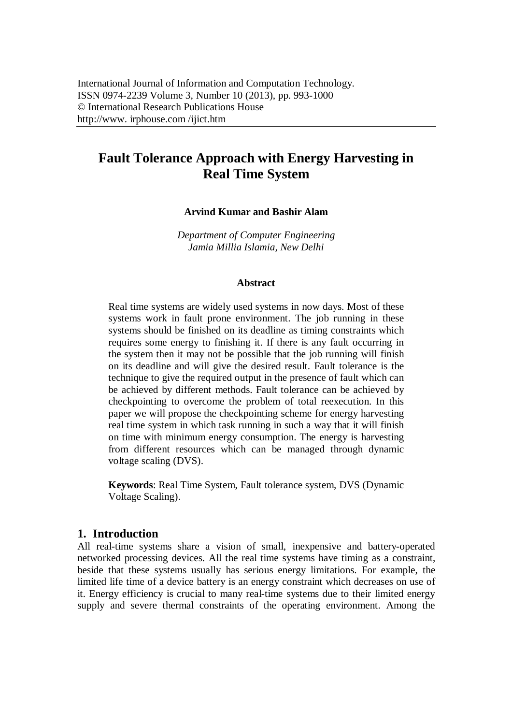# **Fault Tolerance Approach with Energy Harvesting in Real Time System**

**Arvind Kumar and Bashir Alam**

*Department of Computer Engineering Jamia Millia Islamia, New Delhi*

#### **Abstract**

Real time systems are widely used systems in now days. Most of these systems work in fault prone environment. The job running in these systems should be finished on its deadline as timing constraints which requires some energy to finishing it. If there is any fault occurring in the system then it may not be possible that the job running will finish on its deadline and will give the desired result. Fault tolerance is the technique to give the required output in the presence of fault which can be achieved by different methods. Fault tolerance can be achieved by checkpointing to overcome the problem of total reexecution. In this paper we will propose the checkpointing scheme for energy harvesting real time system in which task running in such a way that it will finish on time with minimum energy consumption. The energy is harvesting from different resources which can be managed through dynamic voltage scaling (DVS).

**Keywords**: Real Time System, Fault tolerance system, DVS (Dynamic Voltage Scaling).

## **1. Introduction**

All real-time systems share a vision of small, inexpensive and battery-operated networked processing devices. All the real time systems have timing as a constraint, beside that these systems usually has serious energy limitations. For example, the limited life time of a device battery is an energy constraint which decreases on use of it. Energy efficiency is crucial to many real-time systems due to their limited energy supply and severe thermal constraints of the operating environment. Among the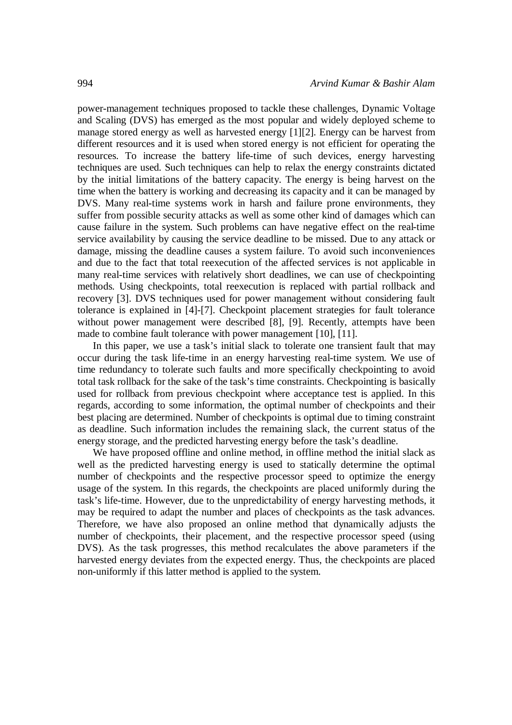power-management techniques proposed to tackle these challenges, Dynamic Voltage and Scaling (DVS) has emerged as the most popular and widely deployed scheme to manage stored energy as well as harvested energy [1][2]. Energy can be harvest from different resources and it is used when stored energy is not efficient for operating the resources. To increase the battery life-time of such devices, energy harvesting techniques are used. Such techniques can help to relax the energy constraints dictated by the initial limitations of the battery capacity. The energy is being harvest on the time when the battery is working and decreasing its capacity and it can be managed by DVS. Many real-time systems work in harsh and failure prone environments, they suffer from possible security attacks as well as some other kind of damages which can cause failure in the system. Such problems can have negative effect on the real-time service availability by causing the service deadline to be missed. Due to any attack or damage, missing the deadline causes a system failure. To avoid such inconveniences and due to the fact that total reexecution of the affected services is not applicable in many real-time services with relatively short deadlines, we can use of checkpointing methods. Using checkpoints, total reexecution is replaced with partial rollback and recovery [3]. DVS techniques used for power management without considering fault tolerance is explained in [4]-[7]. Checkpoint placement strategies for fault tolerance without power management were described [8], [9]. Recently, attempts have been made to combine fault tolerance with power management [10], [11].

In this paper, we use a task's initial slack to tolerate one transient fault that may occur during the task life-time in an energy harvesting real-time system. We use of time redundancy to tolerate such faults and more specifically checkpointing to avoid total task rollback for the sake of the task's time constraints. Checkpointing is basically used for rollback from previous checkpoint where acceptance test is applied. In this regards, according to some information, the optimal number of checkpoints and their best placing are determined. Number of checkpoints is optimal due to timing constraint as deadline. Such information includes the remaining slack, the current status of the energy storage, and the predicted harvesting energy before the task's deadline.

We have proposed offline and online method, in offline method the initial slack as well as the predicted harvesting energy is used to statically determine the optimal number of checkpoints and the respective processor speed to optimize the energy usage of the system. In this regards, the checkpoints are placed uniformly during the task's life-time. However, due to the unpredictability of energy harvesting methods, it may be required to adapt the number and places of checkpoints as the task advances. Therefore, we have also proposed an online method that dynamically adjusts the number of checkpoints, their placement, and the respective processor speed (using DVS). As the task progresses, this method recalculates the above parameters if the harvested energy deviates from the expected energy. Thus, the checkpoints are placed non-uniformly if this latter method is applied to the system.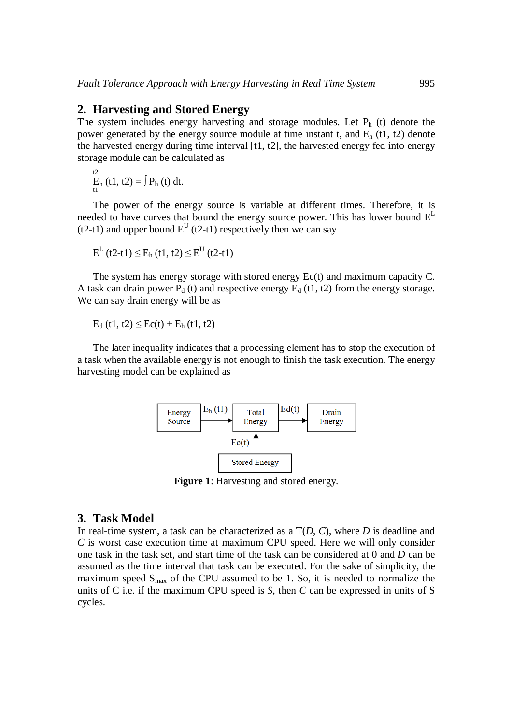#### **2. Harvesting and Stored Energy**

The system includes energy harvesting and storage modules. Let  $P_h$  (t) denote the power generated by the energy source module at time instant t, and  $E<sub>h</sub>$  (t1, t2) denote the harvested energy during time interval [t1, t2], the harvested energy fed into energy storage module can be calculated as

t2  $E_h$  (t1, t2) =  $\int P_h(t) dt$ .

The power of the energy source is variable at different times. Therefore, it is needed to have curves that bound the energy source power. This has lower bound  $E<sup>L</sup>$ (t2-t1) and upper bound  $E<sup>U</sup>$  (t2-t1) respectively then we can say

$$
E^{L} (t2-t1) \leq E_h (t1, t2) \leq E^{U} (t2-t1)
$$

The system has energy storage with stored energy Ec(t) and maximum capacity C. A task can drain power  $P_d$  (t) and respective energy  $E_d$  (t1, t2) from the energy storage. We can say drain energy will be as

 $E_d$  (t1, t2)  $\le$   $Ec(t) + E_h$  (t1, t2)

The later inequality indicates that a processing element has to stop the execution of a task when the available energy is not enough to finish the task execution. The energy harvesting model can be explained as



**Figure 1**: Harvesting and stored energy.

### **3. Task Model**

In real-time system, a task can be characterized as a T(*D*, *C*), where *D* is deadline and *C* is worst case execution time at maximum CPU speed. Here we will only consider one task in the task set, and start time of the task can be considered at 0 and *D* can be assumed as the time interval that task can be executed. For the sake of simplicity, the maximum speed  $S_{\text{max}}$  of the CPU assumed to be 1. So, it is needed to normalize the units of C i.e. if the maximum CPU speed is *S*, then *C* can be expressed in units of S cycles.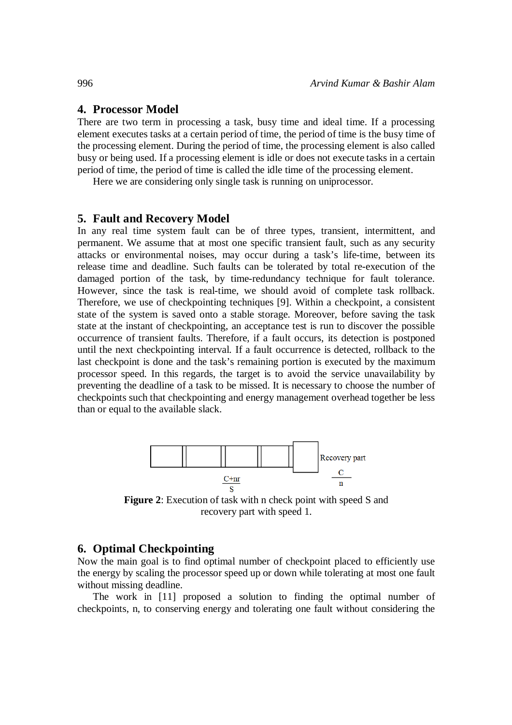# **4. Processor Model**

There are two term in processing a task, busy time and ideal time. If a processing element executes tasks at a certain period of time, the period of time is the busy time of the processing element. During the period of time, the processing element is also called busy or being used. If a processing element is idle or does not execute tasks in a certain period of time, the period of time is called the idle time of the processing element.

Here we are considering only single task is running on uniprocessor.

### **5. Fault and Recovery Model**

In any real time system fault can be of three types, transient, intermittent, and permanent. We assume that at most one specific transient fault, such as any security attacks or environmental noises, may occur during a task's life-time, between its release time and deadline. Such faults can be tolerated by total re-execution of the damaged portion of the task, by time-redundancy technique for fault tolerance. However, since the task is real-time, we should avoid of complete task rollback. Therefore, we use of checkpointing techniques [9]. Within a checkpoint, a consistent state of the system is saved onto a stable storage. Moreover, before saving the task state at the instant of checkpointing, an acceptance test is run to discover the possible occurrence of transient faults. Therefore, if a fault occurs, its detection is postponed until the next checkpointing interval. If a fault occurrence is detected, rollback to the last checkpoint is done and the task's remaining portion is executed by the maximum processor speed. In this regards, the target is to avoid the service unavailability by preventing the deadline of a task to be missed. It is necessary to choose the number of checkpoints such that checkpointing and energy management overhead together be less than or equal to the available slack.



**Figure 2**: Execution of task with n check point with speed S and recovery part with speed 1.

## **6. Optimal Checkpointing**

Now the main goal is to find optimal number of checkpoint placed to efficiently use the energy by scaling the processor speed up or down while tolerating at most one fault without missing deadline.

The work in [11] proposed a solution to finding the optimal number of checkpoints, n, to conserving energy and tolerating one fault without considering the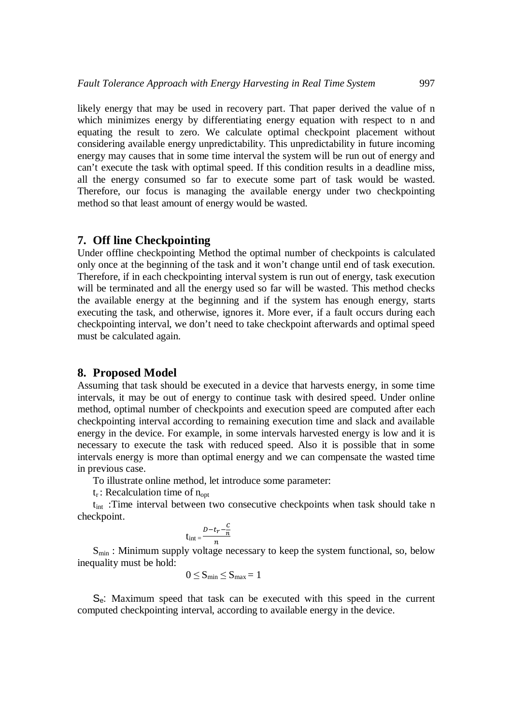likely energy that may be used in recovery part. That paper derived the value of n which minimizes energy by differentiating energy equation with respect to n and equating the result to zero. We calculate optimal checkpoint placement without considering available energy unpredictability. This unpredictability in future incoming energy may causes that in some time interval the system will be run out of energy and can't execute the task with optimal speed. If this condition results in a deadline miss, all the energy consumed so far to execute some part of task would be wasted. Therefore, our focus is managing the available energy under two checkpointing method so that least amount of energy would be wasted.

## **7. Off line Checkpointing**

Under offline checkpointing Method the optimal number of checkpoints is calculated only once at the beginning of the task and it won't change until end of task execution. Therefore, if in each checkpointing interval system is run out of energy, task execution will be terminated and all the energy used so far will be wasted. This method checks the available energy at the beginning and if the system has enough energy, starts executing the task, and otherwise, ignores it. More ever, if a fault occurs during each checkpointing interval, we don't need to take checkpoint afterwards and optimal speed must be calculated again.

## **8. Proposed Model**

Assuming that task should be executed in a device that harvests energy, in some time intervals, it may be out of energy to continue task with desired speed. Under online method, optimal number of checkpoints and execution speed are computed after each checkpointing interval according to remaining execution time and slack and available energy in the device. For example, in some intervals harvested energy is low and it is necessary to execute the task with reduced speed. Also it is possible that in some intervals energy is more than optimal energy and we can compensate the wasted time in previous case.

To illustrate online method, let introduce some parameter:

 $t_r$ : Recalculation time of  $n_{opt}$ 

tint :Time interval between two consecutive checkpoints when task should take n checkpoint.

$$
t_{int} = \frac{D - t_r - \frac{C}{n}}{n}
$$

 $S_{\text{min}}$ : Minimum supply voltage necessary to keep the system functional, so, below inequality must be hold:

$$
0 \leq S_{min} \leq S_{max} = 1
$$

Se: Maximum speed that task can be executed with this speed in the current computed checkpointing interval, according to available energy in the device.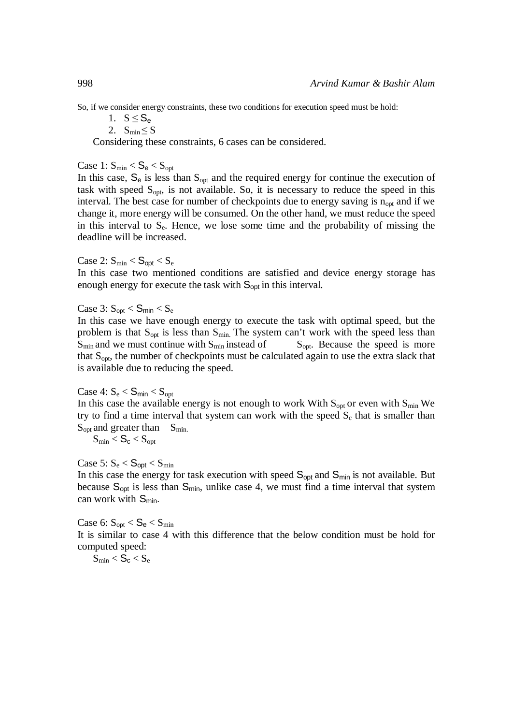So, if we consider energy constraints, these two conditions for execution speed must be hold:

1.  $S \leq S_e$ 

2.  $S_{\text{min}} \leq S$ 

Considering these constraints, 6 cases can be considered.

Case 1:  $S_{min} < S_e < S_{opt}$ 

In this case,  $S_e$  is less than  $S_{opt}$  and the required energy for continue the execution of task with speed  $S_{opt}$ , is not available. So, it is necessary to reduce the speed in this interval. The best case for number of checkpoints due to energy saving is  $n_{opt}$  and if we change it, more energy will be consumed. On the other hand, we must reduce the speed in this interval to  $S_e$ . Hence, we lose some time and the probability of missing the deadline will be increased.

Case 2:  $S_{\text{min}} < S_{\text{opt}} < S_{\text{e}}$ 

In this case two mentioned conditions are satisfied and device energy storage has enough energy for execute the task with  $S<sub>opt</sub>$  in this interval.

Case 3:  $S_{opt} < S_{min} < S_e$ 

In this case we have enough energy to execute the task with optimal speed, but the problem is that  $S_{opt}$  is less than  $S_{min}$ . The system can't work with the speed less than  $S_{\text{min}}$  and we must continue with  $S_{\text{min}}$  instead of  $S_{\text{opt}}$ . Because the speed is more that  $S<sub>opt</sub>$ , the number of checkpoints must be calculated again to use the extra slack that is available due to reducing the speed.

$$
Case 4: S_e < S_{\text{min}} < S_{\text{opt}}
$$

In this case the available energy is not enough to work With  $S_{\text{out}}$  or even with  $S_{\text{min}}$  We try to find a time interval that system can work with the speed  $S_c$  that is smaller than  $S_{opt}$  and greater than  $S_{min}$ .

$$
S_{min} < S_{\text{c}} < S_{\text{opt}}
$$

Case 5:  $S_e < S_{opt} < S_{min}$ 

In this case the energy for task execution with speed  $S_{\text{oot}}$  and  $S_{\text{min}}$  is not available. But because  $S_{\text{oot}}$  is less than  $S_{\text{min}}$ , unlike case 4, we must find a time interval that system can work with  $S_{min}$ .

Case 6:  $S_{\text{opt}} < S_e < S_{\text{min}}$ It is similar to case 4 with this difference that the below condition must be hold for computed speed:

 $S_{\text{min}} < S_{\text{c}} < S_{\text{e}}$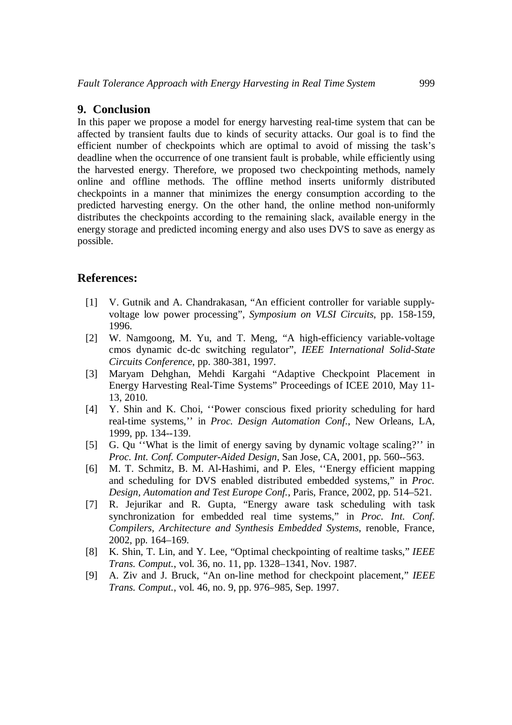## **9. Conclusion**

In this paper we propose a model for energy harvesting real-time system that can be affected by transient faults due to kinds of security attacks. Our goal is to find the efficient number of checkpoints which are optimal to avoid of missing the task's deadline when the occurrence of one transient fault is probable, while efficiently using the harvested energy. Therefore, we proposed two checkpointing methods, namely online and offline methods. The offline method inserts uniformly distributed checkpoints in a manner that minimizes the energy consumption according to the predicted harvesting energy. On the other hand, the online method non-uniformly distributes the checkpoints according to the remaining slack, available energy in the energy storage and predicted incoming energy and also uses DVS to save as energy as possible.

## **References:**

- [1] V. Gutnik and A. Chandrakasan, "An efficient controller for variable supplyvoltage low power processing", *Symposium on VLSI Circuits*, pp. 158-159, 1996.
- [2] W. Namgoong, M. Yu, and T. Meng, "A high-efficiency variable-voltage cmos dynamic dc-dc switching regulator", *IEEE International Solid-State Circuits Conference*, pp. 380-381, 1997.
- [3] Maryam Dehghan, Mehdi Kargahi "Adaptive Checkpoint Placement in Energy Harvesting Real-Time Systems" Proceedings of ICEE 2010, May 11- 13, 2010.
- [4] Y. Shin and K. Choi, ''Power conscious fixed priority scheduling for hard real-time systems,'' in *Proc. Design Automation Conf.*, New Orleans, LA, 1999, pp. 134--139.
- [5] G. Qu ''What is the limit of energy saving by dynamic voltage scaling?'' in *Proc. Int. Conf. Computer-Aided Design*, San Jose, CA, 2001, pp. 560--563.
- [6] M. T. Schmitz, B. M. Al-Hashimi, and P. Eles, ''Energy efficient mapping and scheduling for DVS enabled distributed embedded systems," in *Proc. Design, Automation and Test Europe Conf.*, Paris, France, 2002, pp. 514–521.
- [7] R. Jejurikar and R. Gupta, "Energy aware task scheduling with task synchronization for embedded real time systems," in *Proc. Int. Conf. Compilers, Architecture and Synthesis Embedded Systems*, renoble, France, 2002, pp. 164–169.
- [8] K. Shin, T. Lin, and Y. Lee, "Optimal checkpointing of realtime tasks," *IEEE Trans. Comput.*, vol. 36, no. 11, pp. 1328–1341, Nov. 1987.
- [9] A. Ziv and J. Bruck, "An on-line method for checkpoint placement," *IEEE Trans. Comput.*, vol. 46, no. 9, pp. 976–985, Sep. 1997.